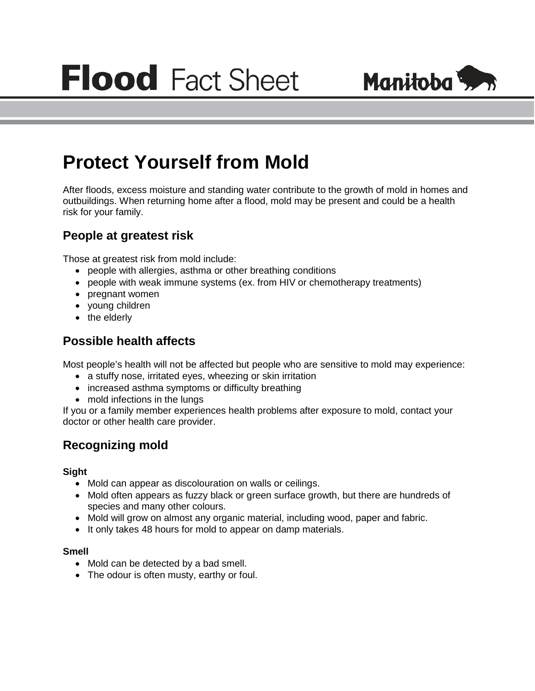

# **Protect Yourself from Mold**

After floods, excess moisture and standing water contribute to the growth of mold in homes and outbuildings. When returning home after a flood, mold may be present and could be a health risk for your family.

## **People at greatest risk**

Those at greatest risk from mold include:

- people with allergies, asthma or other breathing conditions
- people with weak immune systems (ex. from HIV or chemotherapy treatments)
- pregnant women
- young children
- the elderly

## **Possible health affects**

Most people's health will not be affected but people who are sensitive to mold may experience:

- a stuffy nose, irritated eyes, wheezing or skin irritation
- increased asthma symptoms or difficulty breathing
- mold infections in the lungs

If you or a family member experiences health problems after exposure to mold, contact your doctor or other health care provider.

## **Recognizing mold**

#### **Sight**

- Mold can appear as discolouration on walls or ceilings.
- Mold often appears as fuzzy black or green surface growth, but there are hundreds of species and many other colours.
- Mold will grow on almost any organic material, including wood, paper and fabric.
- It only takes 48 hours for mold to appear on damp materials.

#### **Smell**

- Mold can be detected by a bad smell.
- The odour is often musty, earthy or foul.